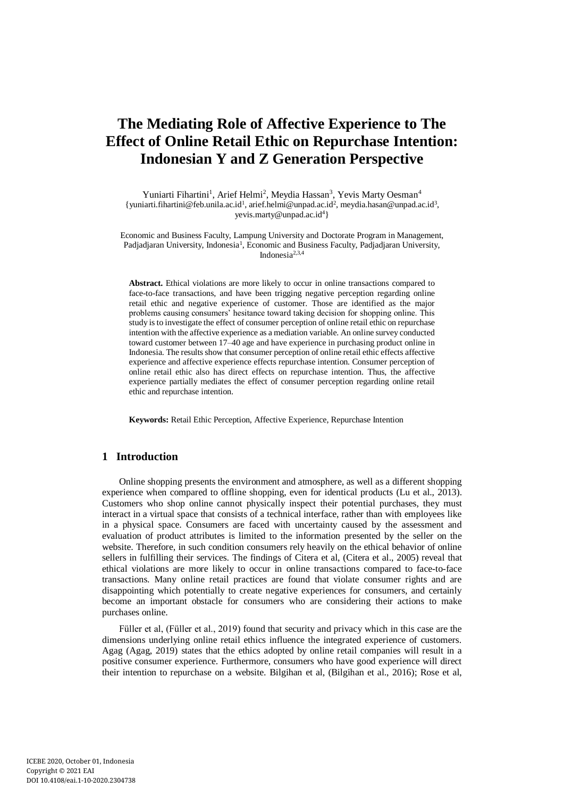# **The Mediating Role of Affective Experience to The Effect of Online Retail Ethic on Repurchase Intention: Indonesian Y and Z Generation Perspective**

Yuniarti Fihartini<sup>1</sup>, Arief Helmi<sup>2</sup>, Meydia Hassan<sup>3</sup>, Yevis Marty Oesman<sup>4</sup> {yuniarti.fihartini@feb.unila.ac.id<sup>1</sup>[, arief.helmi@unpad.ac.id](mailto:arief.helmi@unpad.ac.id2)<sup>2</sup>, meydia.hasan@unpad.ac.id<sup>3</sup>, yevis.marty@unpad.ac.id<sup>4</sup>}

Economic and Business Faculty, Lampung University and Doctorate Program in Management, Padjadjaran University, Indonesia<sup>1</sup>, Economic and Business Faculty, Padjadjaran University, Indonesia2,3,4

**Abstract.** Ethical violations are more likely to occur in online transactions compared to face-to-face transactions, and have been trigging negative perception regarding online retail ethic and negative experience of customer. Those are identified as the major problems causing consumers' hesitance toward taking decision for shopping online. This study is to investigate the effect of consumer perception of online retail ethic on repurchase intention with the affective experience as a mediation variable. An online survey conducted toward customer between 17–40 age and have experience in purchasing product online in Indonesia. The results show that consumer perception of online retail ethic effects affective experience and affective experience effects repurchase intention. Consumer perception of online retail ethic also has direct effects on repurchase intention. Thus, the affective experience partially mediates the effect of consumer perception regarding online retail ethic and repurchase intention.

**Keywords:** Retail Ethic Perception, Affective Experience, Repurchase Intention

## **1 Introduction**

Online shopping presents the environment and atmosphere, as well as a different shopping experience when compared to offline shopping, even for identical products (Lu et al., 2013). Customers who shop online cannot physically inspect their potential purchases, they must interact in a virtual space that consists of a technical interface, rather than with employees like in a physical space. Consumers are faced with uncertainty caused by the assessment and evaluation of product attributes is limited to the information presented by the seller on the website. Therefore, in such condition consumers rely heavily on the ethical behavior of online sellers in fulfilling their services. The findings of Citera et al, (Citera et al., 2005) reveal that ethical violations are more likely to occur in online transactions compared to face-to-face transactions. Many online retail practices are found that violate consumer rights and are disappointing which potentially to create negative experiences for consumers, and certainly become an important obstacle for consumers who are considering their actions to make purchases online.

Füller et al, (Füller et al., 2019) found that security and privacy which in this case are the dimensions underlying online retail ethics influence the integrated experience of customers. Agag (Agag, 2019) states that the ethics adopted by online retail companies will result in a positive consumer experience. Furthermore, consumers who have good experience will direct their intention to repurchase on a website. Bilgihan et al, (Bilgihan et al., 2016); Rose et al,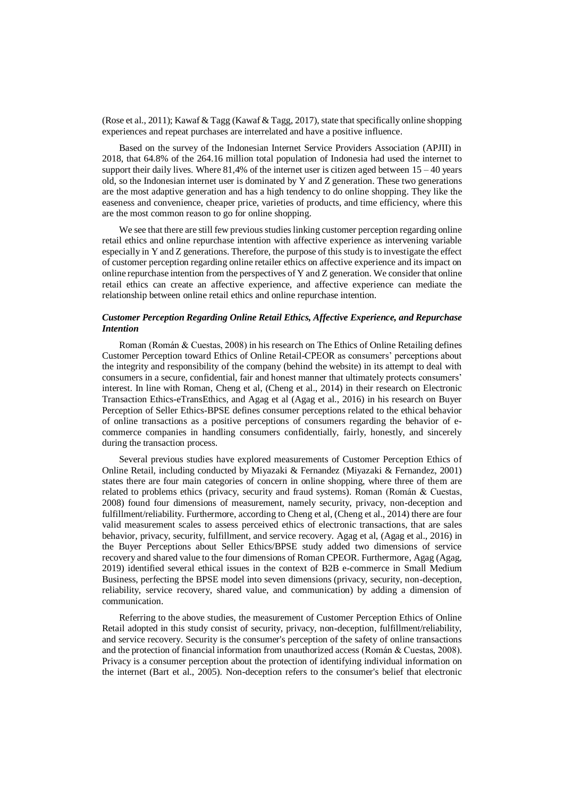(Rose et al., 2011); Kawaf & Tagg (Kawaf & Tagg, 2017), state that specifically online shopping experiences and repeat purchases are interrelated and have a positive influence.

Based on the survey of the Indonesian Internet Service Providers Association (APJII) in 2018, that 64.8% of the 264.16 million total population of Indonesia had used the internet to support their daily lives. Where  $81,4\%$  of the internet user is citizen aged between  $15 - 40$  years old, so the Indonesian internet user is dominated by Y and Z generation. These two generations are the most adaptive generation and has a high tendency to do online shopping. They like the easeness and convenience, cheaper price, varieties of products, and time efficiency, where this are the most common reason to go for online shopping.

We see that there are still few previous studies linking customer perception regarding online retail ethics and online repurchase intention with affective experience as intervening variable especially in Y and Z generations. Therefore, the purpose of this study is to investigate the effect of customer perception regarding online retailer ethics on affective experience and its impact on online repurchase intention from the perspectives of Y and Z generation. We consider that online retail ethics can create an affective experience, and affective experience can mediate the relationship between online retail ethics and online repurchase intention.

#### *Customer Perception Regarding Online Retail Ethics, Affective Experience, and Repurchase Intention*

Roman (Román & Cuestas, 2008) in his research on The Ethics of Online Retailing defines Customer Perception toward Ethics of Online Retail-CPEOR as consumers' perceptions about the integrity and responsibility of the company (behind the website) in its attempt to deal with consumers in a secure, confidential, fair and honest manner that ultimately protects consumers' interest. In line with Roman, Cheng et al, (Cheng et al., 2014) in their research on Electronic Transaction Ethics-eTransEthics, and Agag et al (Agag et al., 2016) in his research on Buyer Perception of Seller Ethics-BPSE defines consumer perceptions related to the ethical behavior of online transactions as a positive perceptions of consumers regarding the behavior of ecommerce companies in handling consumers confidentially, fairly, honestly, and sincerely during the transaction process.

Several previous studies have explored measurements of Customer Perception Ethics of Online Retail, including conducted by Miyazaki & Fernandez (Miyazaki & Fernandez, 2001) states there are four main categories of concern in online shopping, where three of them are related to problems ethics (privacy, security and fraud systems). Roman (Román & Cuestas, 2008) found four dimensions of measurement, namely security, privacy, non-deception and fulfillment/reliability. Furthermore, according to Cheng et al, (Cheng et al., 2014) there are four valid measurement scales to assess perceived ethics of electronic transactions, that are sales behavior, privacy, security, fulfillment, and service recovery. Agag et al, (Agag et al., 2016) in the Buyer Perceptions about Seller Ethics/BPSE study added two dimensions of service recovery and shared value to the four dimensions of Roman CPEOR. Furthermore, Agag (Agag, 2019) identified several ethical issues in the context of B2B e-commerce in Small Medium Business, perfecting the BPSE model into seven dimensions (privacy, security, non-deception, reliability, service recovery, shared value, and communication) by adding a dimension of communication.

Referring to the above studies, the measurement of Customer Perception Ethics of Online Retail adopted in this study consist of security, privacy, non-deception, fulfillment/reliability, and service recovery. Security is the consumer's perception of the safety of online transactions and the protection of financial information from unauthorized access (Román & Cuestas, 2008). Privacy is a consumer perception about the protection of identifying individual information on the internet (Bart et al., 2005). Non-deception refers to the consumer's belief that electronic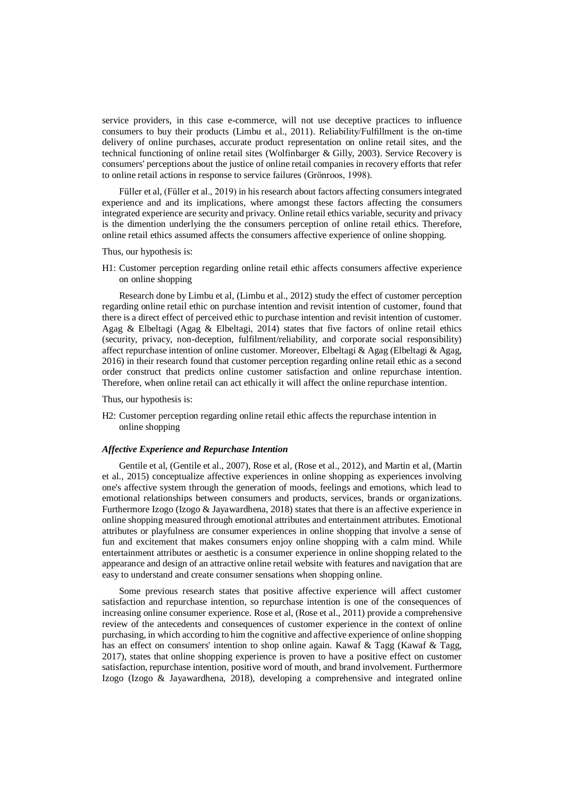service providers, in this case e-commerce, will not use deceptive practices to influence consumers to buy their products (Limbu et al., 2011). Reliability/Fulfillment is the on-time delivery of online purchases, accurate product representation on online retail sites, and the technical functioning of online retail sites (Wolfinbarger & Gilly, 2003). Service Recovery is consumers' perceptions about the justice of online retail companies in recovery efforts that refer to online retail actions in response to service failures (Grönroos, 1998).

Füller et al, (Füller et al., 2019) in his research about factors affecting consumers integrated experience and and its implications, where amongst these factors affecting the consumers integrated experience are security and privacy. Online retail ethics variable, security and privacy is the dimention underlying the the consumers perception of online retail ethics. Therefore, online retail ethics assumed affects the consumers affective experience of online shopping.

#### Thus, our hypothesis is:

H1: Customer perception regarding online retail ethic affects consumers affective experience on online shopping

Research done by Limbu et al, (Limbu et al., 2012) study the effect of customer perception regarding online retail ethic on purchase intention and revisit intention of customer, found that there is a direct effect of perceived ethic to purchase intention and revisit intention of customer. Agag & Elbeltagi (Agag & Elbeltagi, 2014) states that five factors of online retail ethics (security, privacy, non-deception, fulfilment/reliability, and corporate social responsibility) affect repurchase intention of online customer. Moreover, Elbeltagi & Agag (Elbeltagi & Agag, 2016) in their research found that customer perception regarding online retail ethic as a second order construct that predicts online customer satisfaction and online repurchase intention. Therefore, when online retail can act ethically it will affect the online repurchase intention.

Thus, our hypothesis is:

H2: Customer perception regarding online retail ethic affects the repurchase intention in online shopping

#### *Affective Experience and Repurchase Intention*

Gentile et al, (Gentile et al., 2007), Rose et al, (Rose et al., 2012), and Martin et al, (Martin et al., 2015) conceptualize affective experiences in online shopping as experiences involving one's affective system through the generation of moods, feelings and emotions, which lead to emotional relationships between consumers and products, services, brands or organizations. Furthermore Izogo (Izogo & Jayawardhena, 2018) states that there is an affective experience in online shopping measured through emotional attributes and entertainment attributes. Emotional attributes or playfulness are consumer experiences in online shopping that involve a sense of fun and excitement that makes consumers enjoy online shopping with a calm mind. While entertainment attributes or aesthetic is a consumer experience in online shopping related to the appearance and design of an attractive online retail website with features and navigation that are easy to understand and create consumer sensations when shopping online.

Some previous research states that positive affective experience will affect customer satisfaction and repurchase intention, so repurchase intention is one of the consequences of increasing online consumer experience. Rose et al, (Rose et al., 2011) provide a comprehensive review of the antecedents and consequences of customer experience in the context of online purchasing, in which according to him the cognitive and affective experience of online shopping has an effect on consumers' intention to shop online again. Kawaf & Tagg (Kawaf & Tagg, 2017), states that online shopping experience is proven to have a positive effect on customer satisfaction, repurchase intention, positive word of mouth, and brand involvement. Furthermore Izogo (Izogo & Jayawardhena, 2018), developing a comprehensive and integrated online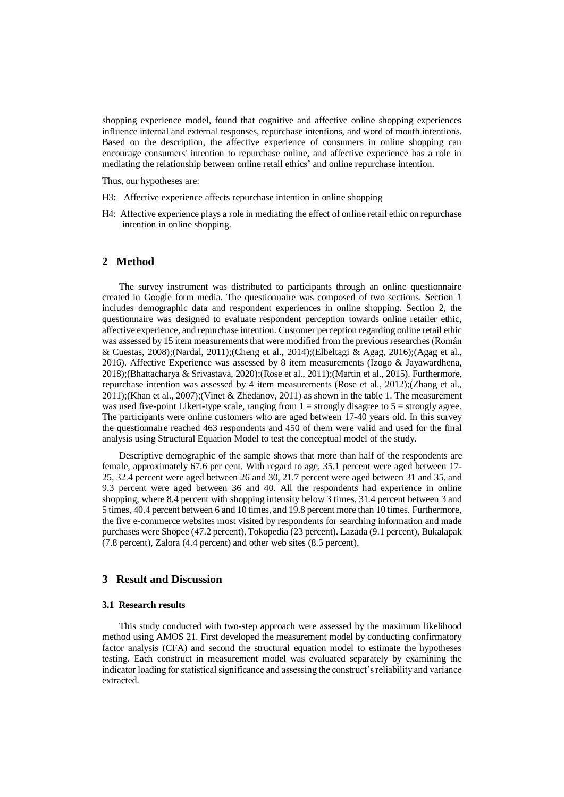shopping experience model, found that cognitive and affective online shopping experiences influence internal and external responses, repurchase intentions, and word of mouth intentions. Based on the description, the affective experience of consumers in online shopping can encourage consumers' intention to repurchase online, and affective experience has a role in mediating the relationship between online retail ethics' and online repurchase intention.

Thus, our hypotheses are:

- H3: Affective experience affects repurchase intention in online shopping
- H4: Affective experience plays a role in mediating the effect of online retail ethic on repurchase intention in online shopping.

## **2 Method**

The survey instrument was distributed to participants through an online questionnaire created in Google form media. The questionnaire was composed of two sections. Section 1 includes demographic data and respondent experiences in online shopping. Section 2, the questionnaire was designed to evaluate respondent perception towards online retailer ethic, affective experience, and repurchase intention. Customer perception regarding online retail ethic was assessed by 15 item measurements that were modified from the previous researches (Román & Cuestas, 2008);(Nardal, 2011);(Cheng et al., 2014);(Elbeltagi & Agag, 2016);(Agag et al., 2016). Affective Experience was assessed by 8 item measurements (Izogo & Jayawardhena, 2018);(Bhattacharya & Srivastava, 2020);(Rose et al., 2011);(Martin et al., 2015). Furthermore, repurchase intention was assessed by 4 item measurements (Rose et al., 2012);(Zhang et al., 2011);(Khan et al., 2007);(Vinet & Zhedanov, 2011) as shown in the table 1. The measurement was used five-point Likert-type scale, ranging from  $1 =$  strongly disagree to  $5 =$  strongly agree. The participants were online customers who are aged between 17-40 years old. In this survey the questionnaire reached 463 respondents and 450 of them were valid and used for the final analysis using Structural Equation Model to test the conceptual model of the study.

Descriptive demographic of the sample shows that more than half of the respondents are female, approximately 67.6 per cent. With regard to age, 35.1 percent were aged between 17- 25, 32.4 percent were aged between 26 and 30, 21.7 percent were aged between 31 and 35, and 9.3 percent were aged between 36 and 40. All the respondents had experience in online shopping, where 8.4 percent with shopping intensity below 3 times, 31.4 percent between 3 and 5 times, 40.4 percent between 6 and 10 times, and 19.8 percent more than 10 times. Furthermore, the five e-commerce websites most visited by respondents for searching information and made purchases were Shopee (47.2 percent), Tokopedia (23 percent). Lazada (9.1 percent), Bukalapak (7.8 percent), Zalora (4.4 percent) and other web sites (8.5 percent).

## **3 Result and Discussion**

#### **3.1 Research results**

This study conducted with two-step approach were assessed by the maximum likelihood method using AMOS 21. First developed the measurement model by conducting confirmatory factor analysis (CFA) and second the structural equation model to estimate the hypotheses testing. Each construct in measurement model was evaluated separately by examining the indicator loading for statistical significance and assessing the construct's reliability and variance extracted.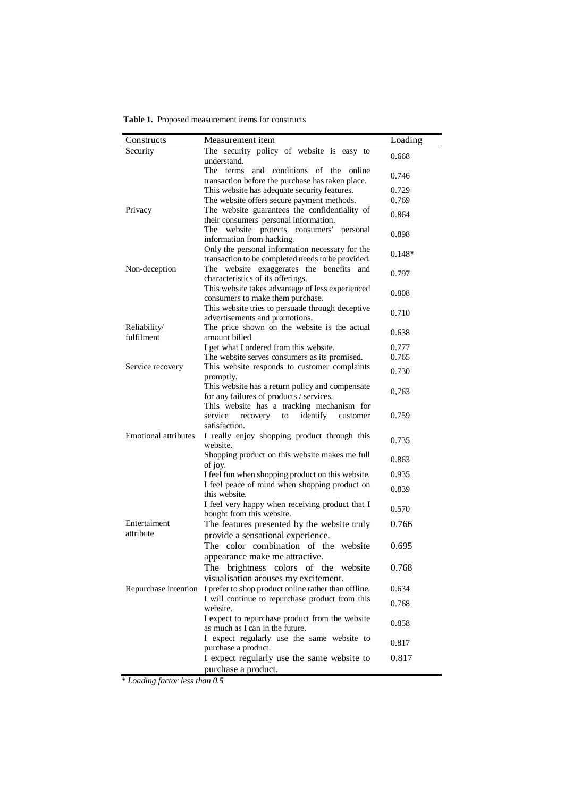**Table 1.** Proposed measurement items for constructs

| Constructs                  | Measurement item                                                                                                                         | Loading  |
|-----------------------------|------------------------------------------------------------------------------------------------------------------------------------------|----------|
| Security                    | The security policy of website is easy to<br>understand.                                                                                 | 0.668    |
|                             | The terms and conditions of the online<br>transaction before the purchase has taken place.                                               | 0.746    |
|                             | This website has adequate security features.                                                                                             | 0.729    |
|                             | The website offers secure payment methods.                                                                                               | 0.769    |
| Privacy                     | The website guarantees the confidentiality of<br>their consumers' personal information.                                                  | 0.864    |
|                             | The website protects consumers'<br>personal<br>information from hacking.                                                                 | 0.898    |
|                             | Only the personal information necessary for the<br>transaction to be completed needs to be provided.                                     | $0.148*$ |
| Non-deception               | The website exaggerates the benefits and<br>characteristics of its offerings.                                                            | 0.797    |
|                             | This website takes advantage of less experienced<br>consumers to make them purchase.                                                     | 0.808    |
|                             | This website tries to persuade through deceptive<br>advertisements and promotions.                                                       | 0.710    |
| Reliability/<br>fulfilment  | The price shown on the website is the actual<br>amount billed                                                                            | 0.638    |
|                             | I get what I ordered from this website.                                                                                                  | 0.777    |
|                             | The website serves consumers as its promised.                                                                                            | 0.765    |
| Service recovery            | This website responds to customer complaints<br>promptly.                                                                                | 0.730    |
|                             | This website has a return policy and compensate<br>for any failures of products / services.<br>This website has a tracking mechanism for | 0,763    |
|                             | identify<br>service<br>recovery<br>customer<br>to<br>satisfaction.                                                                       | 0.759    |
| <b>Emotional attributes</b> | I really enjoy shopping product through this<br>website.                                                                                 | 0.735    |
|                             | Shopping product on this website makes me full<br>of joy.                                                                                | 0.863    |
|                             | I feel fun when shopping product on this website.                                                                                        | 0.935    |
|                             | I feel peace of mind when shopping product on<br>this website.                                                                           | 0.839    |
|                             | I feel very happy when receiving product that I<br>bought from this website.                                                             | 0.570    |
| Entertaiment<br>attribute   | The features presented by the website truly<br>provide a sensational experience.                                                         | 0.766    |
|                             | The color combination of the website<br>appearance make me attractive.                                                                   | 0.695    |
|                             | The<br>brightness colors of the website                                                                                                  | 0.768    |
| Repurchase intention        | visualisation arouses my excitement.<br>I prefer to shop product online rather than offline.                                             | 0.634    |
|                             | I will continue to repurchase product from this<br>website.                                                                              | 0.768    |
|                             | I expect to repurchase product from the website<br>as much as I can in the future.                                                       | 0.858    |
|                             | I expect regularly use the same website to<br>purchase a product.                                                                        | 0.817    |
|                             | I expect regularly use the same website to<br>purchase a product.                                                                        | 0.817    |

*\* Loading factor less than 0.5*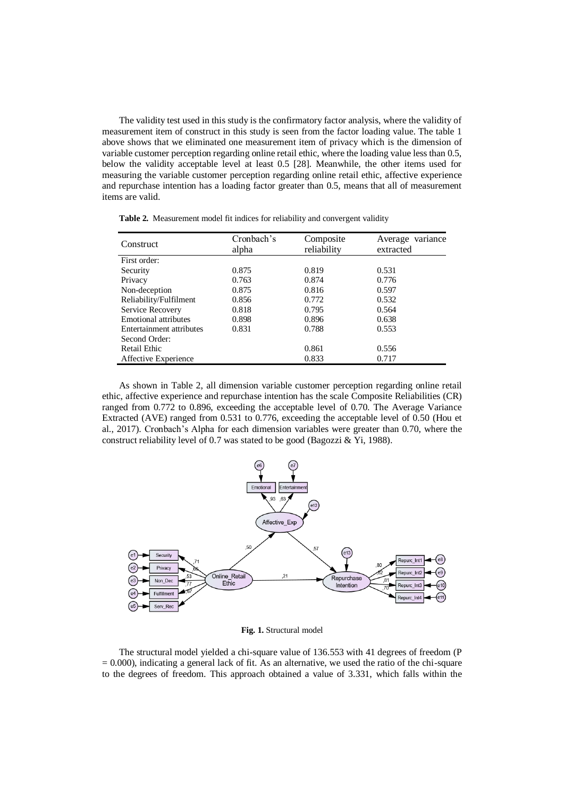The validity test used in this study is the confirmatory factor analysis, where the validity of measurement item of construct in this study is seen from the factor loading value. The table 1 above shows that we eliminated one measurement item of privacy which is the dimension of variable customer perception regarding online retail ethic, where the loading value less than 0.5, below the validity acceptable level at least 0.5 [28]. Meanwhile, the other items used for measuring the variable customer perception regarding online retail ethic, affective experience and repurchase intention has a loading factor greater than 0.5, means that all of measurement items are valid.

**Table 2.** Measurement model fit indices for reliability and convergent validity

| Construct                | Cronbach's | Composite   | Average variance |  |
|--------------------------|------------|-------------|------------------|--|
|                          | alpha      | reliability | extracted        |  |
| First order:             |            |             |                  |  |
| Security                 | 0.875      | 0.819       | 0.531            |  |
| Privacy                  | 0.763      | 0.874       | 0.776            |  |
| Non-deception            | 0.875      | 0.816       | 0.597            |  |
| Reliability/Fulfilment   | 0.856      | 0.772       | 0.532            |  |
| Service Recovery         | 0.818      | 0.795       | 0.564            |  |
| Emotional attributes     | 0.898      | 0.896       | 0.638            |  |
| Entertainment attributes | 0.831      | 0.788       | 0.553            |  |
| Second Order:            |            |             |                  |  |
| Retail Ethic             |            | 0.861       | 0.556            |  |
| Affective Experience     |            | 0.833       | 0.717            |  |

As shown in Table 2, all dimension variable customer perception regarding online retail ethic, affective experience and repurchase intention has the scale Composite Reliabilities (CR) ranged from 0.772 to 0.896, exceeding the acceptable level of 0.70. The Average Variance Extracted (AVE) ranged from 0.531 to 0.776, exceeding the acceptable level of 0.50 (Hou et al., 2017). Cronbach's Alpha for each dimension variables were greater than 0.70, where the construct reliability level of 0.7 was stated to be good (Bagozzi & Yi, 1988).



**Fig. 1.** Structural model

The structural model yielded a chi-square value of 136.553 with 41 degrees of freedom (P  $= 0.000$ ), indicating a general lack of fit. As an alternative, we used the ratio of the chi-square to the degrees of freedom. This approach obtained a value of 3.331, which falls within the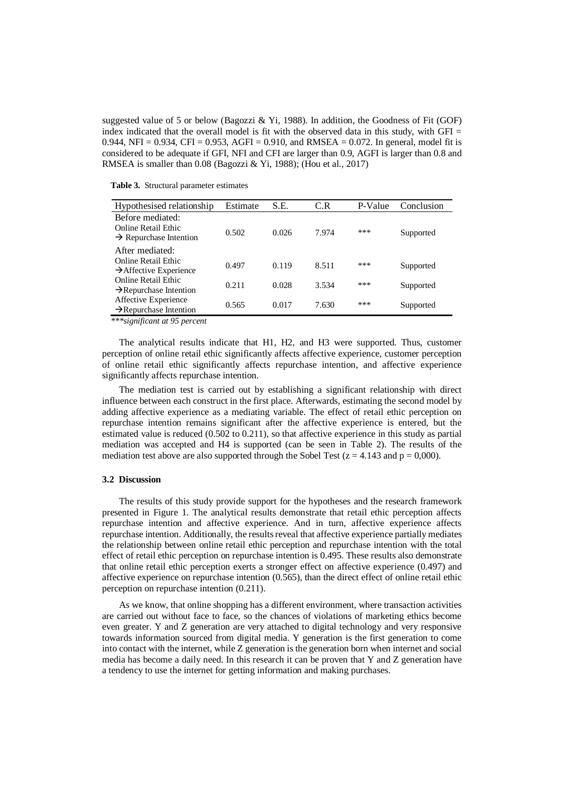suggested value of 5 or below (Bagozzi & Yi, 1988). In addition, the Goodness of Fit (GOF) index indicated that the overall model is fit with the observed data in this study, with  $GFI =$ 0.944, NFI = 0.934, CFI = 0.953, AGFI = 0.910, and RMSEA = 0.072. In general, model fit is considered to be adequate if GFI, NFI and CFI are larger than 0.9, AGFI is larger than 0.8 and RMSEA is smaller than 0.08 (Bagozzi & Yi, 1988); (Hou et al., 2017)

**Table 3.** Structural parameter estimates

| Hypothesised relationship                                                     | Estimate | S.E.  | C.R   | P-Value | Conclusion |
|-------------------------------------------------------------------------------|----------|-------|-------|---------|------------|
| Before mediated:<br>Online Retail Ethic<br>$\rightarrow$ Repurchase Intention | 0.502    | 0.026 | 7.974 | ***     | Supported  |
| After mediated:<br>Online Retail Ethic<br>$\rightarrow$ Affective Experience  | 0.497    | 0.119 | 8.511 | ***     | Supported  |
| Online Retail Ethic<br>$\rightarrow$ Repurchase Intention                     | 0.211    | 0.028 | 3.534 | ***     | Supported  |
| Affective Experience<br>$\rightarrow$ Repurchase Intention                    | 0.565    | 0.017 | 7.630 | ***     | Supported  |
|                                                                               |          |       |       |         |            |

*\*\*\*significant at 95 percent*

The analytical results indicate that H1, H2, and H3 were supported. Thus, customer perception of online retail ethic significantly affects affective experience, customer perception of online retail ethic significantly affects repurchase intention, and affective experience significantly affects repurchase intention.

The mediation test is carried out by establishing a significant relationship with direct influence between each construct in the first place. Afterwards, estimating the second model by adding affective experience as a mediating variable. The effect of retail ethic perception on repurchase intention remains significant after the affective experience is entered, but the estimated value is reduced (0.502 to 0.211), so that affective experience in this study as partial mediation was accepted and H4 is supported (can be seen in Table 2). The results of the mediation test above are also supported through the Sobel Test ( $z = 4.143$  and  $p = 0,000$ ).

#### **3.2 Discussion**

The results of this study provide support for the hypotheses and the research framework presented in Figure 1. The analytical results demonstrate that retail ethic perception affects repurchase intention and affective experience. And in turn, affective experience affects repurchase intention. Additionally, the results reveal that affective experience partially mediates the relationship between online retail ethic perception and repurchase intention with the total effect of retail ethic perception on repurchase intention is 0.495. These results also demonstrate that online retail ethic perception exerts a stronger effect on affective experience (0.497) and affective experience on repurchase intention (0.565), than the direct effect of online retail ethic perception on repurchase intention (0.211).

As we know, that online shopping has a different environment, where transaction activities are carried out without face to face, so the chances of violations of marketing ethics become even greater. Y and Z generation are very attached to digital technology and very responsive towards information sourced from digital media. Y generation is the first generation to come into contact with the internet, while Z generation is the generation born when internet and social media has become a daily need. In this research it can be proven that Y and Z generation have a tendency to use the internet for getting information and making purchases.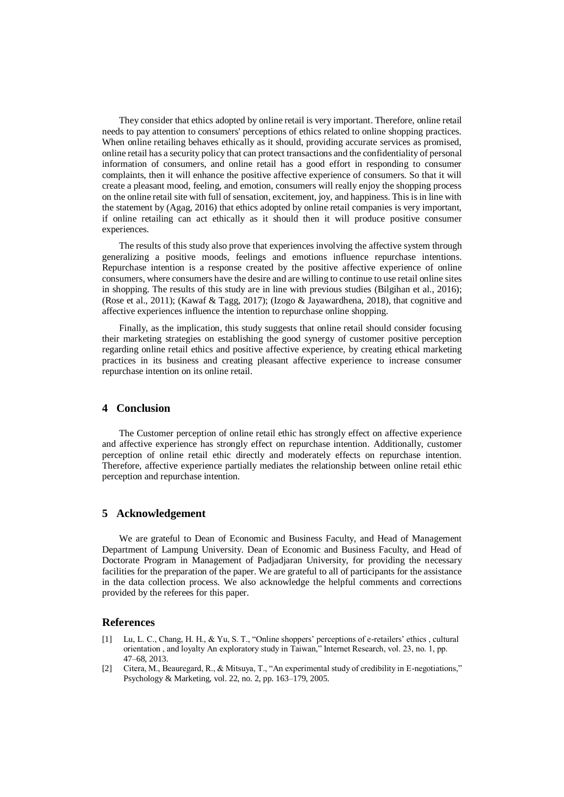They consider that ethics adopted by online retail is very important. Therefore, online retail needs to pay attention to consumers' perceptions of ethics related to online shopping practices. When online retailing behaves ethically as it should, providing accurate services as promised, online retail has a security policy that can protect transactions and the confidentiality of personal information of consumers, and online retail has a good effort in responding to consumer complaints, then it will enhance the positive affective experience of consumers. So that it will create a pleasant mood, feeling, and emotion, consumers will really enjoy the shopping process on the online retail site with full of sensation, excitement, joy, and happiness. This is in line with the statement by (Agag, 2016) that ethics adopted by online retail companies is very important, if online retailing can act ethically as it should then it will produce positive consumer experiences.

The results of this study also prove that experiences involving the affective system through generalizing a positive moods, feelings and emotions influence repurchase intentions. Repurchase intention is a response created by the positive affective experience of online consumers, where consumers have the desire and are willing to continue to use retail online sites in shopping. The results of this study are in line with previous studies (Bilgihan et al., 2016); (Rose et al., 2011); (Kawaf & Tagg, 2017); (Izogo & Jayawardhena, 2018), that cognitive and affective experiences influence the intention to repurchase online shopping.

Finally, as the implication, this study suggests that online retail should consider focusing their marketing strategies on establishing the good synergy of customer positive perception regarding online retail ethics and positive affective experience, by creating ethical marketing practices in its business and creating pleasant affective experience to increase consumer repurchase intention on its online retail.

## **4 Conclusion**

The Customer perception of online retail ethic has strongly effect on affective experience and affective experience has strongly effect on repurchase intention. Additionally, customer perception of online retail ethic directly and moderately effects on repurchase intention. Therefore, affective experience partially mediates the relationship between online retail ethic perception and repurchase intention.

# **5 Acknowledgement**

We are grateful to Dean of Economic and Business Faculty, and Head of Management Department of Lampung University. Dean of Economic and Business Faculty, and Head of Doctorate Program in Management of Padjadjaran University, for providing the necessary facilities for the preparation of the paper. We are grateful to all of participants for the assistance in the data collection process. We also acknowledge the helpful comments and corrections provided by the referees for this paper.

## **References**

- [1] Lu, L. C., Chang, H. H., & Yu, S. T., "Online shoppers' perceptions of e-retailers' ethics , cultural orientation , and loyalty An exploratory study in Taiwan," Internet Research, vol. 23, no. 1, pp. 47–68, 2013.
- [2] Citera, M., Beauregard, R., & Mitsuya, T., "An experimental study of credibility in E-negotiations," Psychology & Marketing, vol. 22, no. 2, pp. 163–179, 2005.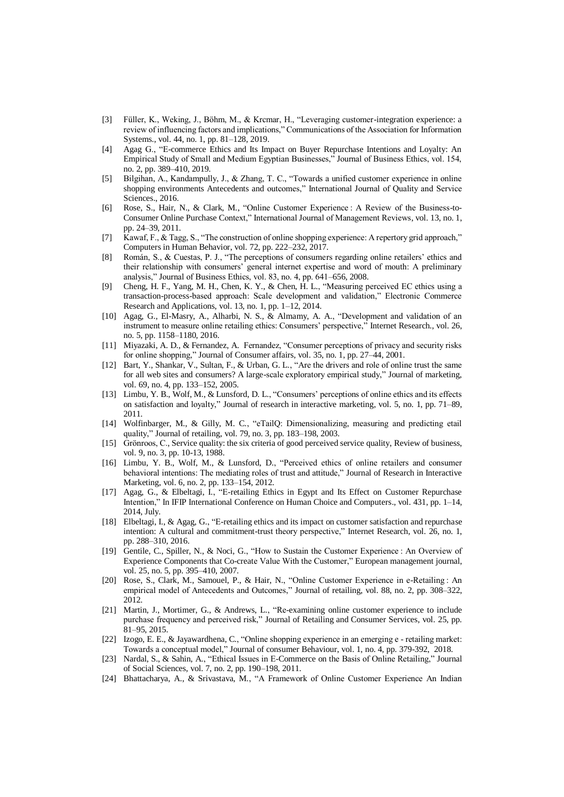- [3] Füller, K., Weking, J., Böhm, M., & Krcmar, H., "Leveraging customer-integration experience: a review of influencing factors and implications," Communications of the Association for Information Systems., vol. 44, no. 1, pp. 81–128, 2019.
- [4] Agag G., "E-commerce Ethics and Its Impact on Buyer Repurchase Intentions and Loyalty: An Empirical Study of Small and Medium Egyptian Businesses," Journal of Business Ethics, vol. 154, no. 2, pp. 389–410, 2019.
- [5] Bilgihan, A., Kandampully, J., & Zhang, T. C., "Towards a unified customer experience in online shopping environments Antecedents and outcomes," International Journal of Quality and Service Sciences., 2016.
- [6] Rose, S., Hair, N., & Clark, M., "Online Customer Experience : A Review of the Business-to-Consumer Online Purchase Context," International Journal of Management Reviews, vol. 13, no. 1, pp. 24–39, 2011.
- [7] Kawaf, F., & Tagg, S., "The construction of online shopping experience: A repertory grid approach," Computers in Human Behavior, vol. 72, pp. 222–232, 2017.
- [8] Román, S., & Cuestas, P. J., "The perceptions of consumers regarding online retailers' ethics and their relationship with consumers' general internet expertise and word of mouth: A preliminary analysis," Journal of Business Ethics, vol. 83, no. 4, pp. 641–656, 2008.
- [9] Cheng, H. F., Yang, M. H., Chen, K. Y., & Chen, H. L., "Measuring perceived EC ethics using a transaction-process-based approach: Scale development and validation," Electronic Commerce Research and Applications, vol. 13, no. 1, pp. 1–12, 2014.
- [10] Agag, G., El-Masry, A., Alharbi, N. S., & Almamy, A. A., "Development and validation of an instrument to measure online retailing ethics: Consumers' perspective," Internet Research., vol. 26, no. 5, pp. 1158–1180, 2016.
- [11] Miyazaki, A. D., & Fernandez, A. Fernandez, "Consumer perceptions of privacy and security risks for online shopping," Journal of Consumer affairs, vol. 35, no. 1, pp. 27–44, 2001.
- [12] Bart, Y., Shankar, V., Sultan, F., & Urban, G. L., "Are the drivers and role of online trust the same for all web sites and consumers? A large-scale exploratory empirical study," Journal of marketing, vol. 69, no. 4, pp. 133–152, 2005.
- [13] Limbu, Y. B., Wolf, M., & Lunsford, D. L., "Consumers' perceptions of online ethics and its effects on satisfaction and loyalty," Journal of research in interactive marketing, vol. 5, no. 1, pp. 71–89, 2011.
- [14] Wolfinbarger, M., & Gilly, M. C., "eTailQ: Dimensionalizing, measuring and predicting etail quality," Journal of retailing, vol. 79, no. 3, pp. 183–198, 2003.
- [15] Grönroos, C., Service quality: the six criteria of good perceived service quality, Review of business, vol. 9, no. 3, pp. 10-13, 1988.
- [16] Limbu, Y. B., Wolf, M., & Lunsford, D., "Perceived ethics of online retailers and consumer behavioral intentions: The mediating roles of trust and attitude," Journal of Research in Interactive Marketing, vol. 6, no. 2, pp. 133–154, 2012.
- [17] Agag, G., & Elbeltagi, I., "E-retailing Ethics in Egypt and Its Effect on Customer Repurchase Intention," In IFIP International Conference on Human Choice and Computers., vol. 431, pp. 1–14, 2014, July.
- [18] Elbeltagi, I., & Agag, G., "E-retailing ethics and its impact on customer satisfaction and repurchase intention: A cultural and commitment-trust theory perspective," Internet Research, vol. 26, no. 1, pp. 288–310, 2016.
- [19] Gentile, C., Spiller, N., & Noci, G., "How to Sustain the Customer Experience : An Overview of Experience Components that Co-create Value With the Customer," European management journal, vol. 25, no. 5, pp. 395–410, 2007.
- [20] Rose, S., Clark, M., Samouel, P., & Hair, N., "Online Customer Experience in e-Retailing : An empirical model of Antecedents and Outcomes," Journal of retailing, vol. 88, no. 2, pp. 308–322, 2012.
- [21] Martin, J., Mortimer, G., & Andrews, L., "Re-examining online customer experience to include purchase frequency and perceived risk," Journal of Retailing and Consumer Services, vol. 25, pp. 81–95, 2015.
- [22] Izogo, E. E., & Jayawardhena, C., "Online shopping experience in an emerging e ‐ retailing market: Towards a conceptual model," Journal of consumer Behaviour, vol. 1, no. 4, pp. 379-392, 2018.
- [23] Nardal, S., & Sahin, A., "Ethical Issues in E-Commerce on the Basis of Online Retailing," Journal of Social Sciences, vol. 7, no. 2, pp. 190–198, 2011.
- [24] Bhattacharya, A., & Srivastava, M., "A Framework of Online Customer Experience An Indian